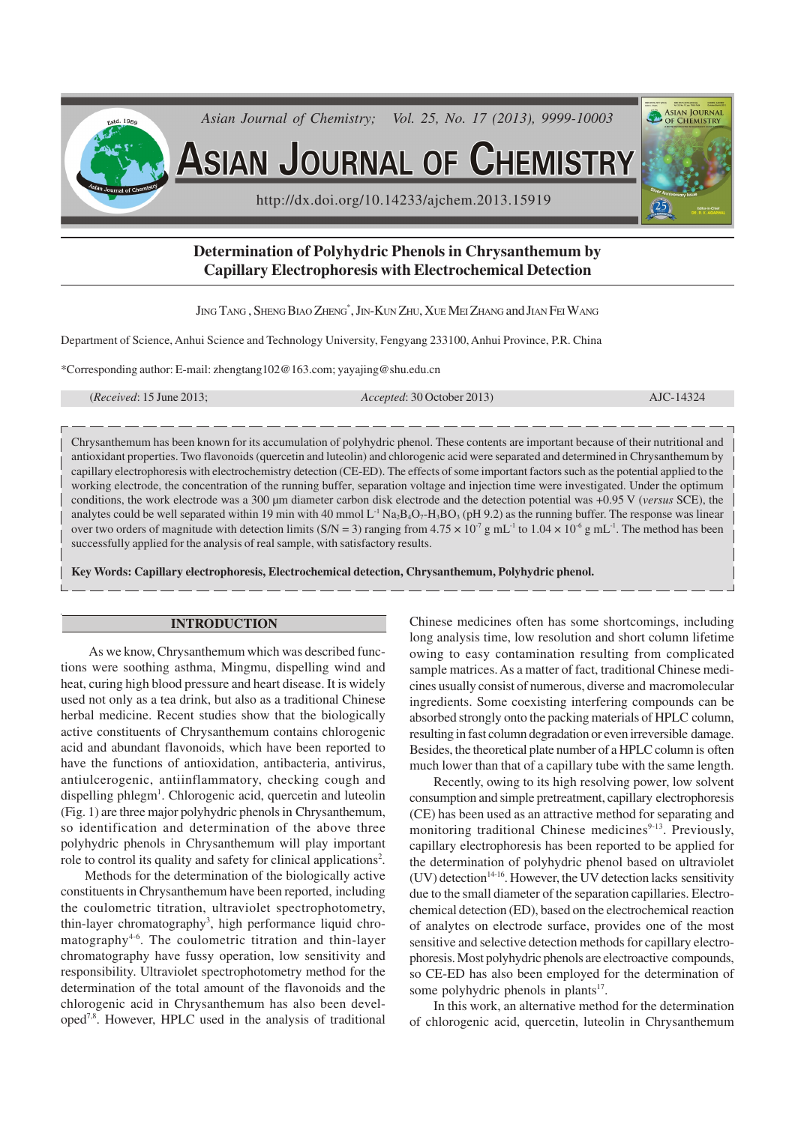

# **Determination of Polyhydric Phenols in Chrysanthemum by Capillary Electrophoresis with Electrochemical Detection**

JING TANG , SHENG BIAO ZHENG\* , JIN-KUN ZHU, XUE MEI ZHANG and JIAN FEI WANG

Department of Science, Anhui Science and Technology University, Fengyang 233100, Anhui Province, P.R. China

\*Corresponding author: E-mail: zhengtang102@163.com; yayajing@shu.edu.cn

(*Received*: 15 June 2013; *Accepted*: 30 October 2013) AJC-14324

Chrysanthemum has been known for its accumulation of polyhydric phenol. These contents are important because of their nutritional and antioxidant properties. Two flavonoids (quercetin and luteolin) and chlorogenic acid were separated and determined in Chrysanthemum by capillary electrophoresis with electrochemistry detection (CE-ED). The effects of some important factors such as the potential applied to the working electrode, the concentration of the running buffer, separation voltage and injection time were investigated. Under the optimum conditions, the work electrode was a 300 µm diameter carbon disk electrode and the detection potential was +0.95 V (*versus* SCE), the analytes could be well separated within 19 min with 40 mmol  $L^{-1}$  Na<sub>2</sub>B<sub>4</sub>O<sub>7</sub>-H<sub>3</sub>BO<sub>3</sub> (pH 9.2) as the running buffer. The response was linear over two orders of magnitude with detection limits (S/N = 3) ranging from  $4.75 \times 10^{-7}$  g mL<sup>-1</sup> to  $1.04 \times 10^{-6}$  g mL<sup>-1</sup>. The method has been successfully applied for the analysis of real sample, with satisfactory results.

**Key Words: Capillary electrophoresis, Electrochemical detection, Chrysanthemum, Polyhydric phenol.**

### **INTRODUCTION**

 As we know, Chrysanthemum which was described functions were soothing asthma, Mingmu, dispelling wind and heat, curing high blood pressure and heart disease. It is widely used not only as a tea drink, but also as a traditional Chinese herbal medicine. Recent studies show that the biologically active constituents of Chrysanthemum contains chlorogenic acid and abundant flavonoids, which have been reported to have the functions of antioxidation, antibacteria, antivirus, antiulcerogenic, antiinflammatory, checking cough and dispelling phlegm<sup>1</sup>. Chlorogenic acid, quercetin and luteolin (Fig. 1) are three major polyhydric phenols in Chrysanthemum, so identification and determination of the above three polyhydric phenols in Chrysanthemum will play important role to control its quality and safety for clinical applications<sup>2</sup>.

Methods for the determination of the biologically active constituents in Chrysanthemum have been reported, including the coulometric titration, ultraviolet spectrophotometry, thin-layer chromatography<sup>3</sup>, high performance liquid chromatography<sup> $4-6$ </sup>. The coulometric titration and thin-layer chromatography have fussy operation, low sensitivity and responsibility. Ultraviolet spectrophotometry method for the determination of the total amount of the flavonoids and the chlorogenic acid in Chrysanthemum has also been developed7,8. However, HPLC used in the analysis of traditional

Chinese medicines often has some shortcomings, including long analysis time, low resolution and short column lifetime owing to easy contamination resulting from complicated sample matrices. As a matter of fact, traditional Chinese medicines usually consist of numerous, diverse and macromolecular ingredients. Some coexisting interfering compounds can be absorbed strongly onto the packing materials of HPLC column, resulting in fast column degradation or even irreversible damage. Besides, the theoretical plate number of a HPLC column is often much lower than that of a capillary tube with the same length.

Recently, owing to its high resolving power, low solvent consumption and simple pretreatment, capillary electrophoresis (CE) has been used as an attractive method for separating and monitoring traditional Chinese medicines<sup>9-13</sup>. Previously, capillary electrophoresis has been reported to be applied for the determination of polyhydric phenol based on ultraviolet (UV) detection<sup>14-16</sup>. However, the UV detection lacks sensitivity due to the small diameter of the separation capillaries. Electrochemical detection (ED), based on the electrochemical reaction of analytes on electrode surface, provides one of the most sensitive and selective detection methods for capillary electrophoresis. Most polyhydric phenols are electroactive compounds, so CE-ED has also been employed for the determination of some polyhydric phenols in plants<sup>17</sup>.

In this work, an alternative method for the determination of chlorogenic acid, quercetin, luteolin in Chrysanthemum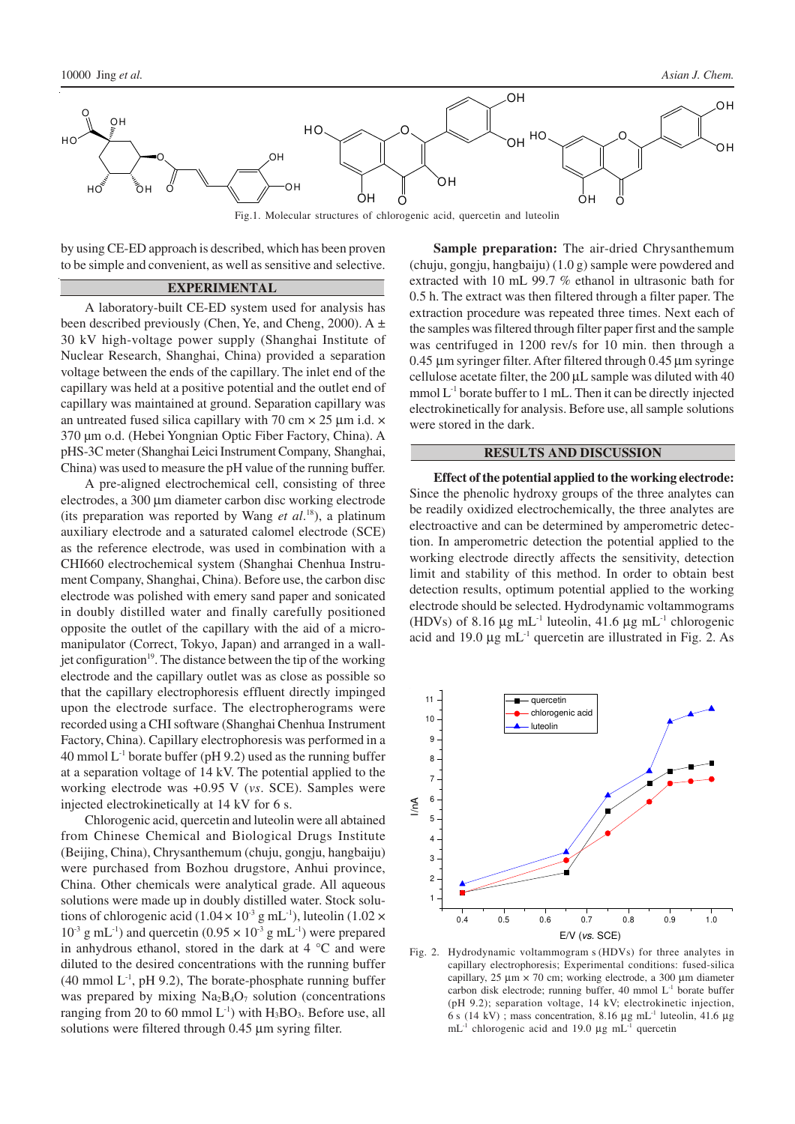

by using CE-ED approach is described, which has been proven to be simple and convenient, as well as sensitive and selective.

## **EXPERIMENTAL**

A laboratory-built CE-ED system used for analysis has been described previously (Chen, Ye, and Cheng, 2000). A  $\pm$ 30 kV high-voltage power supply (Shanghai Institute of Nuclear Research, Shanghai, China) provided a separation voltage between the ends of the capillary. The inlet end of the capillary was held at a positive potential and the outlet end of capillary was maintained at ground. Separation capillary was an untreated fused silica capillary with 70 cm  $\times$  25 µm i.d.  $\times$ 370 µm o.d. (Hebei Yongnian Optic Fiber Factory, China). A pHS-3C meter (Shanghai Leici Instrument Company, Shanghai, China) was used to measure the pH value of the running buffer.

A pre-aligned electrochemical cell, consisting of three electrodes, a 300 µm diameter carbon disc working electrode (its preparation was reported by Wang *et al*. <sup>18</sup>), a platinum auxiliary electrode and a saturated calomel electrode (SCE) as the reference electrode, was used in combination with a CHI660 electrochemical system (Shanghai Chenhua Instrument Company, Shanghai, China). Before use, the carbon disc electrode was polished with emery sand paper and sonicated in doubly distilled water and finally carefully positioned opposite the outlet of the capillary with the aid of a micromanipulator (Correct, Tokyo, Japan) and arranged in a walljet configuration<sup>19</sup>. The distance between the tip of the working electrode and the capillary outlet was as close as possible so that the capillary electrophoresis effluent directly impinged upon the electrode surface. The electropherograms were recorded using a CHI software (Shanghai Chenhua Instrument Factory, China). Capillary electrophoresis was performed in a 40 mmol  $L^{-1}$  borate buffer (pH 9.2) used as the running buffer at a separation voltage of 14 kV. The potential applied to the working electrode was +0.95 V (*vs*. SCE). Samples were injected electrokinetically at 14 kV for 6 s.

Chlorogenic acid, quercetin and luteolin were all abtained from Chinese Chemical and Biological Drugs Institute (Beijing, China), Chrysanthemum (chuju, gongju, hangbaiju) were purchased from Bozhou drugstore, Anhui province, China. Other chemicals were analytical grade. All aqueous solutions were made up in doubly distilled water. Stock solutions of chlorogenic acid (1.04  $\times$  10<sup>-3</sup> g mL<sup>-1</sup>), luteolin (1.02  $\times$  $10^{-3}$  g mL<sup>-1</sup>) and quercetin (0.95  $\times$  10<sup>-3</sup> g mL<sup>-1</sup>) were prepared in anhydrous ethanol, stored in the dark at  $4^{\circ}$ C and were diluted to the desired concentrations with the running buffer  $(40 \text{ mmol L}^1, \text{pH } 9.2)$ , The borate-phosphate running buffer was prepared by mixing  $Na<sub>2</sub>B<sub>4</sub>O<sub>7</sub>$  solution (concentrations ranging from 20 to 60 mmol  $L^{-1}$ ) with  $H_3BO_3$ . Before use, all solutions were filtered through 0.45 µm syring filter.

**Sample preparation:** The air-dried Chrysanthemum (chuju, gongju, hangbaiju) (1.0 g) sample were powdered and extracted with 10 mL 99.7 % ethanol in ultrasonic bath for 0.5 h. The extract was then filtered through a filter paper. The extraction procedure was repeated three times. Next each of the samples was filtered through filter paper first and the sample was centrifuged in 1200 rev/s for 10 min. then through a 0.45 µm syringer filter. After filtered through 0.45 µm syringe cellulose acetate filter, the 200 µL sample was diluted with 40 mmol  $L<sup>-1</sup>$  borate buffer to 1 mL. Then it can be directly injected electrokinetically for analysis. Before use, all sample solutions were stored in the dark.

## **RESULTS AND DISCUSSION**

**Effect of the potential applied to the working electrode:** Since the phenolic hydroxy groups of the three analytes can be readily oxidized electrochemically, the three analytes are electroactive and can be determined by amperometric detection. In amperometric detection the potential applied to the working electrode directly affects the sensitivity, detection limit and stability of this method. In order to obtain best detection results, optimum potential applied to the working electrode should be selected. Hydrodynamic voltammograms (HDVs) of 8.16  $\mu$ g mL<sup>-1</sup> luteolin, 41.6  $\mu$ g mL<sup>-1</sup> chlorogenic acid and 19.0  $\mu$ g mL<sup>-1</sup> quercetin are illustrated in Fig. 2. As



Fig. 2. Hydrodynamic voltammogram s (HDVs) for three analytes in capillary electrophoresis; Experimental conditions: fused-silica capillary,  $25 \mu m \times 70$  cm; working electrode, a 300  $\mu$ m diameter carbon disk electrode; running buffer, 40 mmol L-1 borate buffer (pH 9.2); separation voltage, 14 kV; electrokinetic injection, 6 s (14 kV) ; mass concentration, 8.16  $\mu$ g mL<sup>-1</sup> luteolin, 41.6  $\mu$ g  $mL^{-1}$  chlorogenic acid and 19.0 µg mL<sup>-1</sup> quercetin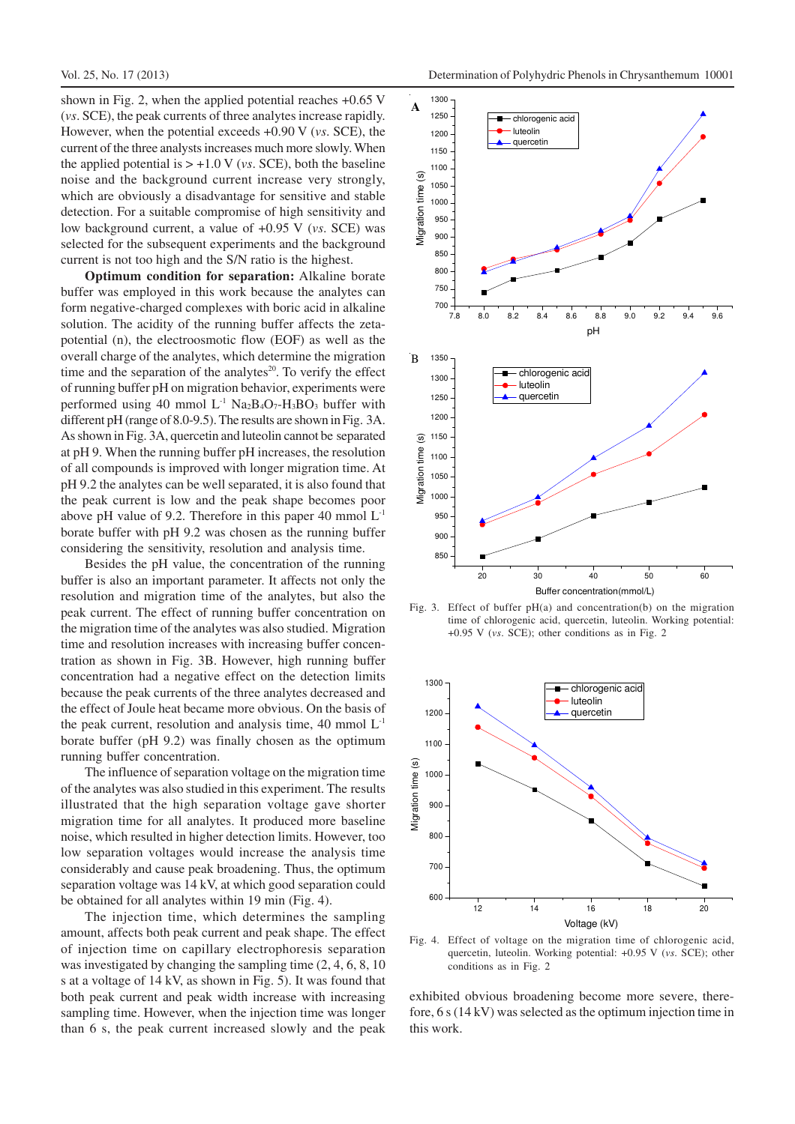shown in Fig. 2, when the applied potential reaches +0.65 V (*vs*. SCE), the peak currents of three analytes increase rapidly. However, when the potential exceeds +0.90 V (*vs*. SCE), the current of the three analysts increases much more slowly. When the applied potential is  $> +1.0$  V (*vs.* SCE), both the baseline noise and the background current increase very strongly, which are obviously a disadvantage for sensitive and stable detection. For a suitable compromise of high sensitivity and low background current, a value of +0.95 V (*vs*. SCE) was selected for the subsequent experiments and the background current is not too high and the S/N ratio is the highest.

**Optimum condition for separation:** Alkaline borate buffer was employed in this work because the analytes can form negative-charged complexes with boric acid in alkaline solution. The acidity of the running buffer affects the zetapotential (n), the electroosmotic flow (EOF) as well as the overall charge of the analytes, which determine the migration time and the separation of the analytes $20$ . To verify the effect of running buffer pH on migration behavior, experiments were performed using 40 mmol  $L<sup>-1</sup>$  Na<sub>2</sub>B<sub>4</sub>O<sub>7</sub>-H<sub>3</sub>BO<sub>3</sub> buffer with different pH (range of 8.0-9.5). The results are shown in Fig. 3A. As shown in Fig. 3A, quercetin and luteolin cannot be separated at pH 9. When the running buffer pH increases, the resolution of all compounds is improved with longer migration time. At pH 9.2 the analytes can be well separated, it is also found that the peak current is low and the peak shape becomes poor above pH value of 9.2. Therefore in this paper 40 mmol  $L^{-1}$ borate buffer with pH 9.2 was chosen as the running buffer considering the sensitivity, resolution and analysis time.

Besides the pH value, the concentration of the running buffer is also an important parameter. It affects not only the resolution and migration time of the analytes, but also the peak current. The effect of running buffer concentration on the migration time of the analytes was also studied. Migration time and resolution increases with increasing buffer concentration as shown in Fig. 3B. However, high running buffer concentration had a negative effect on the detection limits because the peak currents of the three analytes decreased and the effect of Joule heat became more obvious. On the basis of the peak current, resolution and analysis time, 40 mmol  $L<sup>-1</sup>$ borate buffer (pH 9.2) was finally chosen as the optimum running buffer concentration.

The influence of separation voltage on the migration time of the analytes was also studied in this experiment. The results illustrated that the high separation voltage gave shorter migration time for all analytes. It produced more baseline noise, which resulted in higher detection limits. However, too low separation voltages would increase the analysis time considerably and cause peak broadening. Thus, the optimum separation voltage was 14 kV, at which good separation could be obtained for all analytes within 19 min (Fig. 4).

The injection time, which determines the sampling amount, affects both peak current and peak shape. The effect of injection time on capillary electrophoresis separation was investigated by changing the sampling time (2, 4, 6, 8, 10 s at a voltage of 14 kV, as shown in Fig. 5). It was found that both peak current and peak width increase with increasing sampling time. However, when the injection time was longer than 6 s, the peak current increased slowly and the peak



Fig. 3. Effect of buffer pH(a) and concentration(b) on the migration time of chlorogenic acid, quercetin, luteolin. Working potential: +0.95 V (*vs*. SCE); other conditions as in Fig. 2



Fig. 4. Effect of voltage on the migration time of chlorogenic acid, quercetin, luteolin. Working potential: +0.95 V (*vs*. SCE); other conditions as in Fig. 2

exhibited obvious broadening become more severe, therefore, 6 s (14 kV) was selected as the optimum injection time in this work.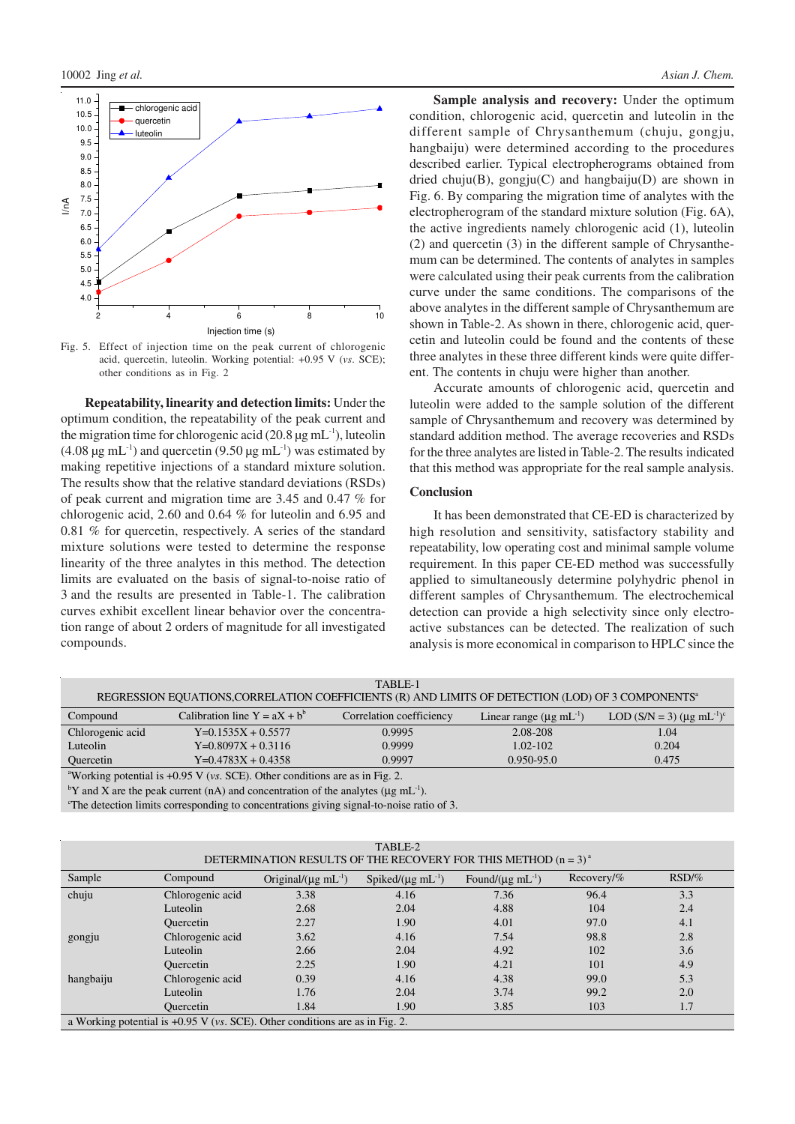

Fig. 5. Effect of injection time on the peak current of chlorogenic acid, quercetin, luteolin. Working potential: +0.95 V (*vs*. SCE); other conditions as in Fig. 2

**Repeatability, linearity and detection limits:** Under the optimum condition, the repeatability of the peak current and the migration time for chlorogenic acid  $(20.8 \,\mu g \,\text{mL}^{-1})$ , luteolin  $(4.08 \,\mu g \, \text{mL}^{-1})$  and quercetin  $(9.50 \,\mu g \, \text{mL}^{-1})$  was estimated by making repetitive injections of a standard mixture solution. The results show that the relative standard deviations (RSDs) of peak current and migration time are 3.45 and 0.47 % for chlorogenic acid, 2.60 and 0.64 % for luteolin and 6.95 and 0.81 % for quercetin, respectively. A series of the standard mixture solutions were tested to determine the response linearity of the three analytes in this method. The detection limits are evaluated on the basis of signal-to-noise ratio of 3 and the results are presented in Table-1. The calibration curves exhibit excellent linear behavior over the concentration range of about 2 orders of magnitude for all investigated compounds.

Sample analysis and recovery: Under the optimum condition, chlorogenic acid, quercetin and luteolin in the different sample of Chrysanthemum (chuju, gongju, hangbaiju) were determined according to the procedures described earlier. Typical electropherograms obtained from dried chuju(B), gongju(C) and hangbaiju(D) are shown in Fig. 6. By comparing the migration time of analytes with the electropherogram of the standard mixture solution (Fig. 6A), the active ingredients namely chlorogenic acid (1), luteolin (2) and quercetin (3) in the different sample of Chrysanthemum can be determined. The contents of analytes in samples were calculated using their peak currents from the calibration curve under the same conditions. The comparisons of the above analytes in the different sample of Chrysanthemum are shown in Table-2. As shown in there, chlorogenic acid, quercetin and luteolin could be found and the contents of these three analytes in these three different kinds were quite different. The contents in chuju were higher than another.

Accurate amounts of chlorogenic acid, quercetin and luteolin were added to the sample solution of the different sample of Chrysanthemum and recovery was determined by standard addition method. The average recoveries and RSDs for the three analytes are listed in Table-2. The results indicated that this method was appropriate for the real sample analysis.

## **Conclusion**

It has been demonstrated that CE-ED is characterized by high resolution and sensitivity, satisfactory stability and repeatability, low operating cost and minimal sample volume requirement. In this paper CE-ED method was successfully applied to simultaneously determine polyhydric phenol in different samples of Chrysanthemum. The electrochemical detection can provide a high selectivity since only electroactive substances can be detected. The realization of such analysis is more economical in comparison to HPLC since the

| TABLE-1                                                                                                       |                                 |                          |                                        |                                                     |  |  |  |  |  |
|---------------------------------------------------------------------------------------------------------------|---------------------------------|--------------------------|----------------------------------------|-----------------------------------------------------|--|--|--|--|--|
| REGRESSION EQUATIONS, CORRELATION COEFFICIENTS (R) AND LIMITS OF DETECTION (LOD) OF 3 COMPONENTS <sup>a</sup> |                                 |                          |                                        |                                                     |  |  |  |  |  |
| Compound                                                                                                      | Calibration line $Y = aX + b^b$ | Correlation coefficiency | Linear range $(\mu g \text{ mL}^{-1})$ | LOD $(S/N = 3)$ (µg mL <sup>-1</sup> ) <sup>c</sup> |  |  |  |  |  |
| Chlorogenic acid                                                                                              | $Y=0.1535X + 0.5577$            | 0.9995                   | 2.08-208                               | 1.04                                                |  |  |  |  |  |
| Luteolin                                                                                                      | $Y=0.8097X + 0.3116$            | 0.9999                   | $1.02 - 102$                           | 0.204                                               |  |  |  |  |  |
| <b>Ouercetin</b>                                                                                              | $Y=0.4783X + 0.4358$            | 0.9997                   | $0.950 - 95.0$                         | 0.475                                               |  |  |  |  |  |
| <sup>a</sup> Working potential is $\pm 0.95$ V (ys. SCE). Other conditions are as in Fig. 2.                  |                                 |                          |                                        |                                                     |  |  |  |  |  |

king potential is  $+0.95$  V (*vs.* SCE). Other conditions are as in Fig.

<sup>b</sup>Y and X are the peak current (nA) and concentration of the analytes ( $\mu$ g mL<sup>-1</sup>).

<sup>c</sup>The detection limits corresponding to concentrations giving signal-to-noise ratio of 3.

| TABLE-2<br>DETERMINATION RESULTS OF THE RECOVERY FOR THIS METHOD $(n = 3)^{a}$         |                  |                                     |                                   |                                  |              |       |  |  |  |
|----------------------------------------------------------------------------------------|------------------|-------------------------------------|-----------------------------------|----------------------------------|--------------|-------|--|--|--|
| Sample                                                                                 | Compound         | Original/ $(\mu g \text{ mL}^{-1})$ | Spiked/ $(\mu g \text{ mL}^{-1})$ | Found/ $(\mu g \text{ mL}^{-1})$ | $Recovery\%$ | RSD/% |  |  |  |
| chuju                                                                                  | Chlorogenic acid | 3.38                                | 4.16                              | 7.36                             | 96.4         | 3.3   |  |  |  |
|                                                                                        | Luteolin         | 2.68                                | 2.04                              | 4.88                             | 104          | 2.4   |  |  |  |
|                                                                                        | Quercetin        | 2.27                                | 1.90                              | 4.01                             | 97.0         | 4.1   |  |  |  |
| gongju                                                                                 | Chlorogenic acid | 3.62                                | 4.16                              | 7.54                             | 98.8         | 2.8   |  |  |  |
|                                                                                        | Luteolin         | 2.66                                | 2.04                              | 4.92                             | 102          | 3.6   |  |  |  |
|                                                                                        | Quercetin        | 2.25                                | 1.90                              | 4.21                             | 101          | 4.9   |  |  |  |
| hangbaiju                                                                              | Chlorogenic acid | 0.39                                | 4.16                              | 4.38                             | 99.0         | 5.3   |  |  |  |
|                                                                                        | Luteolin         | 1.76                                | 2.04                              | 3.74                             | 99.2         | 2.0   |  |  |  |
|                                                                                        | <b>Ouercetin</b> | 1.84                                | 1.90                              | 3.85                             | 103          | 1.7   |  |  |  |
| a Working potential is $+0.95$ V ( <i>vs.</i> SCE). Other conditions are as in Fig. 2. |                  |                                     |                                   |                                  |              |       |  |  |  |